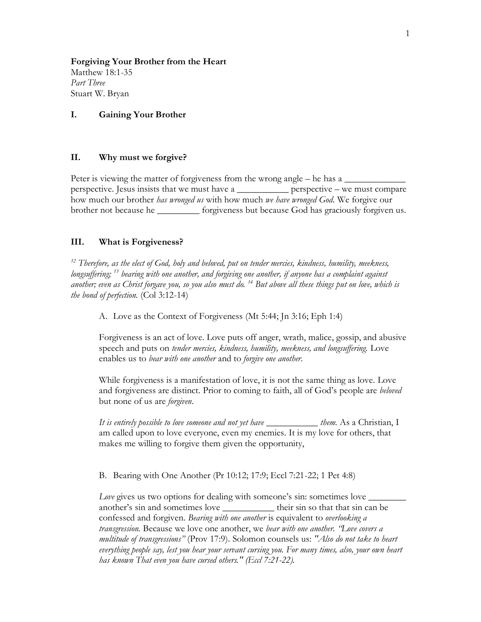**Forgiving Your Brother from the Heart** Matthew 18:1-35 *Part Three* Stuart W. Bryan

## **I. Gaining Your Brother**

## **II. Why must we forgive?**

Peter is viewing the matter of forgiveness from the wrong angle  $-$  he has a  $\Box$ perspective. Jesus insists that we must have a \_\_\_\_\_\_\_\_\_\_\_ perspective – we must compare how much our brother *has wronged us* with how much *we have wronged God*. We forgive our brother not because he *\_\_\_\_\_\_\_\_\_* forgiveness but because God has graciously forgiven us.

## **III. What is Forgiveness?**

*<sup>12</sup> Therefore, as the elect of God, holy and beloved, put on tender mercies, kindness, humility, meekness, longsuffering; <sup>13</sup> bearing with one another, and forgiving one another, if anyone has a complaint against another; even as Christ forgave you, so you also must do. <sup>14</sup> But above all these things put on love, which is the bond of perfection.* (Col 3:12-14)

A. Love as the Context of Forgiveness (Mt 5:44; Jn 3:16; Eph 1:4)

Forgiveness is an act of love. Love puts off anger, wrath, malice, gossip, and abusive speech and puts on *tender mercies, kindness, humility, meekness, and longsuffering.* Love enables us to *bear with one another* and to *forgive one another.* 

While forgiveness is a manifestation of love, it is not the same thing as love. Love and forgiveness are distinct. Prior to coming to faith, all of God's people are *beloved*  but none of us are *forgiven*.

*It is entirely possible to love someone and not yet have \_\_\_\_\_\_\_\_\_\_\_ them.* As a Christian, I am called upon to love everyone, even my enemies. It is my love for others, that makes me willing to forgive them given the opportunity,

B. Bearing with One Another (Pr 10:12; 17:9; Eccl 7:21-22; 1 Pet 4:8)

*Love* gives us two options for dealing with someone's sin: sometimes love  $\Box$ another's sin and sometimes love **their** sin so that that sin can be confessed and forgiven. *Bearing with one another* is equivalent to *overlooking a transgression.* Because we love one another, we *bear with one another. "Love covers a multitude of transgressions"* (Prov 17:9). Solomon counsels us: *"Also do not take to heart everything people say, lest you hear your servant cursing you. For many times, also, your own heart has known That even you have cursed others." (Eccl 7:21-22).*